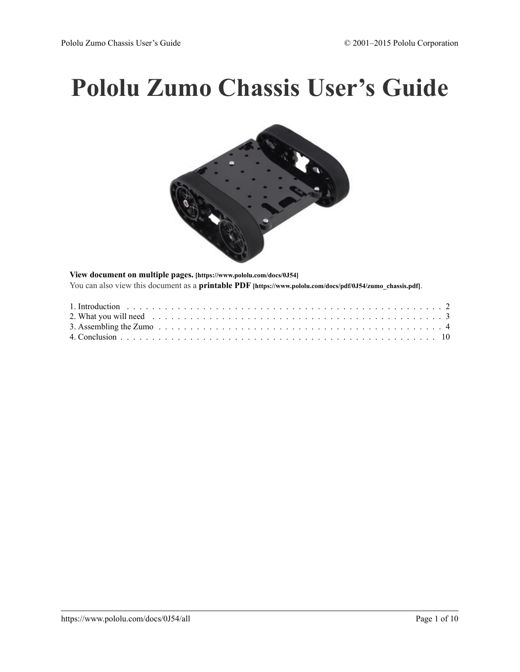# <span id="page-0-0"></span>**[Pololu Zumo Chassis User's Guide](#page-0-0)**



**[View document on multiple pages.](https://www.pololu.com/docs/0J54) [https://www.pololu.com/docs/0J54]** You can also view this document as a **printable PDF [\[https://www.pololu.com/docs/pdf/0J54/zumo\\_chassis.pdf\]](https://www.pololu.com/docs/pdf/0J54/zumo_chassis.pdf)**.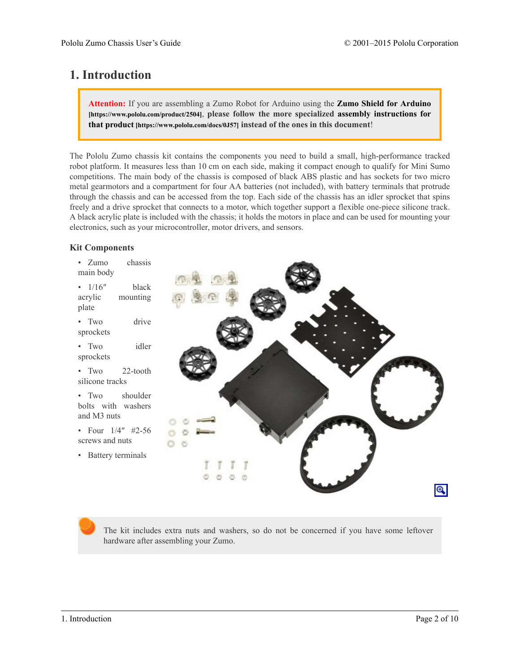## <span id="page-1-0"></span>**1. Introduction**

**Attention:** If you are assembling a Zumo Robot for Arduino using the **Zumo Shield for [Arduino](https://www.pololu.com/product/2504) [\[https://www.pololu.com/product/2504\]](https://www.pololu.com/product/2504)**, **please follow the more specialized assembly [instructions](https://www.pololu.com/docs/0J57) for that product [\[https://www.pololu.com/docs/0J57\]](https://www.pololu.com/docs/0J57) instead of the ones in this document**!

The Pololu Zumo chassis kit contains the components you need to build a small, high-performance tracked robot platform. It measures less than 10 cm on each side, making it compact enough to qualify for Mini Sumo competitions. The main body of the chassis is composed of black ABS plastic and has sockets for two micro metal gearmotors and a compartment for four AA batteries (not included), with battery terminals that protrude through the chassis and can be accessed from the top. Each side of the chassis has an idler sprocket that spins freely and a drive sprocket that connects to a motor, which together support a flexible one-piece silicone track. A black acrylic plate is included with the chassis; it holds the motors in place and can be used for mounting your electronics, such as your microcontroller, motor drivers, and sensors.

#### **Kit Components**



The kit includes extra nuts and washers, so do not be concerned if you have some leftover hardware after assembling your Zumo.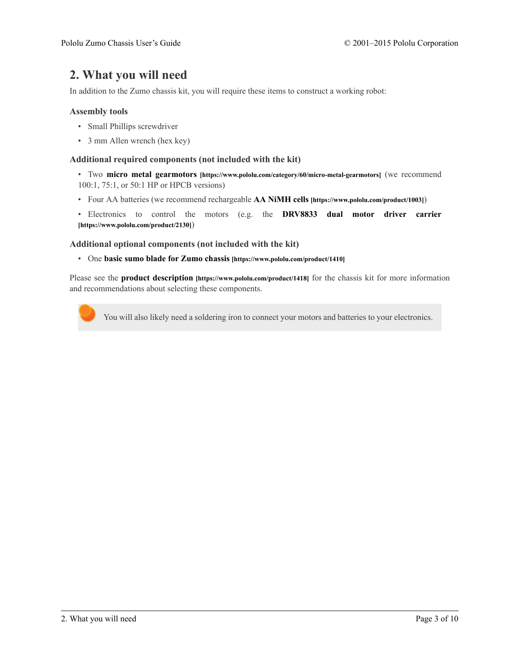## <span id="page-2-0"></span>**2. What you will need**

In addition to the Zumo chassis kit, you will require these items to construct a working robot:

#### **Assembly tools**

- Small Phillips screwdriver
- 3 mm Allen wrench (hex key)

**Additional required components (not included with the kit)**

• Two **micro metal gearmotors [\[https://www.pololu.com/category/60/micro-metal-gearmotors\]](https://www.pololu.com/category/60/micro-metal-gearmotors)** (we recommend 100:1, 75:1, or 50:1 HP or HPCB versions)

• Four AA batteries (we recommend rechargeable **AA NiMH cells [\[https://www.pololu.com/product/1003\]](https://www.pololu.com/product/1003)**)

• Electronics to control the motors (e.g. the **[DRV8833](https://www.pololu.com/product/2130) dual motor driver carrier [\[https://www.pololu.com/product/2130\]](https://www.pololu.com/product/2130)**)

#### **Additional optional components (not included with the kit)**

• One **[basic sumo blade for Zumo chassis](https://www.pololu.com/product/1410) [https://www.pololu.com/product/1410]**

Please see the **product description [\[https://www.pololu.com/product/1418\]](https://www.pololu.com/product/1418)** for the chassis kit for more information and recommendations about selecting these components.



You will also likely need a soldering iron to connect your motors and batteries to your electronics.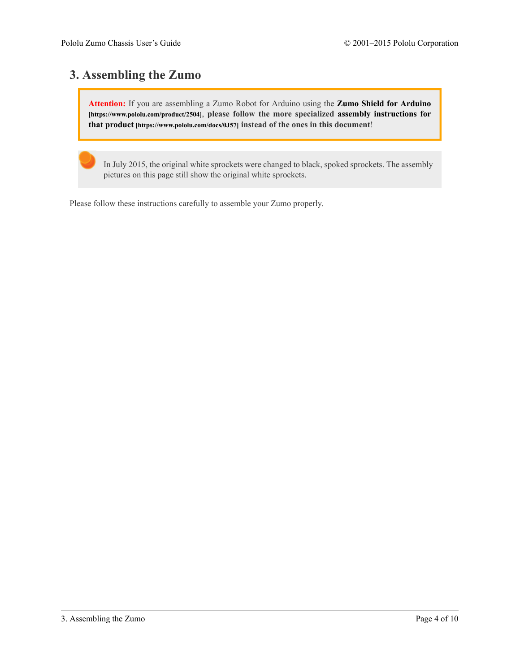## <span id="page-3-0"></span>**3. Assembling the Zumo**

**Attention:** If you are assembling a Zumo Robot for Arduino using the **Zumo Shield for [Arduino](https://www.pololu.com/product/2504) [\[https://www.pololu.com/product/2504\]](https://www.pololu.com/product/2504)**, **please follow the more specialized assembly [instructions](https://www.pololu.com/docs/0J57) for that product [\[https://www.pololu.com/docs/0J57\]](https://www.pololu.com/docs/0J57) instead of the ones in this document**!

In July 2015, the original white sprockets were changed to black, spoked sprockets. The assembly pictures on this page still show the original white sprockets.

Please follow these instructions carefully to assemble your Zumo properly.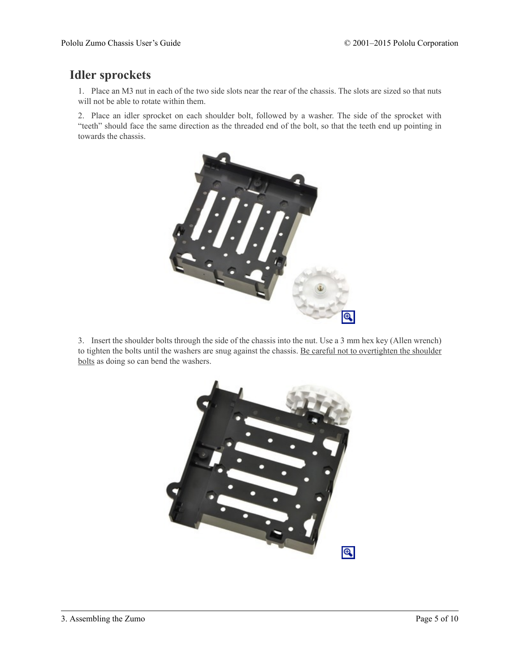### **Idler sprockets**

1. Place an M3 nut in each of the two side slots near the rear of the chassis. The slots are sized so that nuts will not be able to rotate within them.

2. Place an idler sprocket on each shoulder bolt, followed by a washer. The side of the sprocket with "teeth" should face the same direction as the threaded end of the bolt, so that the teeth end up pointing in towards the chassis.



3. Insert the shoulder bolts through the side of the chassis into the nut. Use a 3 mm hex key (Allen wrench) to tighten the bolts until the washers are snug against the chassis. Be careful not to overtighten the shoulder bolts as doing so can bend the washers.

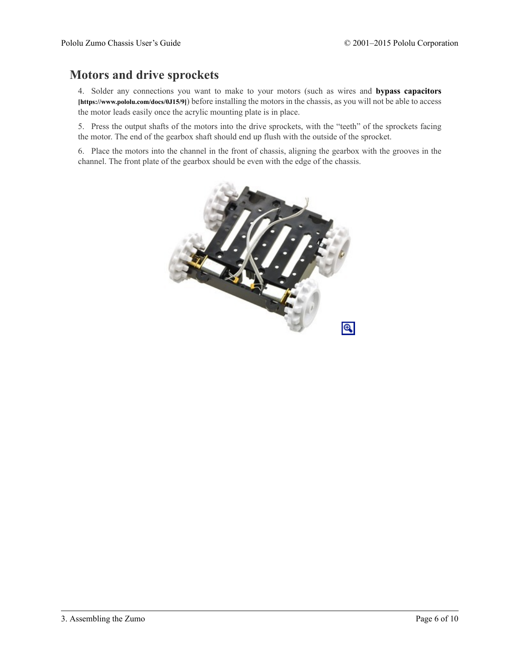#### **Motors and drive sprockets**

4. Solder any connections you want to make to your motors (such as wires and **bypass [capacitors](https://www.pololu.com/docs/0J15/9) [\[https://www.pololu.com/docs/0J15/9\]](https://www.pololu.com/docs/0J15/9)**) before installing the motors in the chassis, as you will not be able to access the motor leads easily once the acrylic mounting plate is in place.

5. Press the output shafts of the motors into the drive sprockets, with the "teeth" of the sprockets facing the motor. The end of the gearbox shaft should end up flush with the outside of the sprocket.

6. Place the motors into the channel in the front of chassis, aligning the gearbox with the grooves in the channel. The front plate of the gearbox should be even with the edge of the chassis.

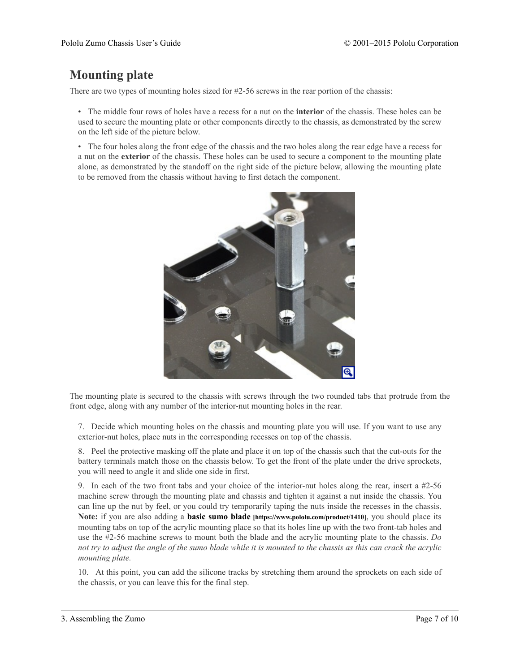# **Mounting plate**

There are two types of mounting holes sized for #2-56 screws in the rear portion of the chassis:

• The middle four rows of holes have a recess for a nut on the **interior** of the chassis. These holes can be used to secure the mounting plate or other components directly to the chassis, as demonstrated by the screw on the left side of the picture below.

• The four holes along the front edge of the chassis and the two holes along the rear edge have a recess for a nut on the **exterior** of the chassis. These holes can be used to secure a component to the mounting plate alone, as demonstrated by the standoff on the right side of the picture below, allowing the mounting plate to be removed from the chassis without having to first detach the component.



The mounting plate is secured to the chassis with screws through the two rounded tabs that protrude from the front edge, along with any number of the interior-nut mounting holes in the rear.

7. Decide which mounting holes on the chassis and mounting plate you will use. If you want to use any exterior-nut holes, place nuts in the corresponding recesses on top of the chassis.

8. Peel the protective masking off the plate and place it on top of the chassis such that the cut-outs for the battery terminals match those on the chassis below. To get the front of the plate under the drive sprockets, you will need to angle it and slide one side in first.

9. In each of the two front tabs and your choice of the interior-nut holes along the rear, insert a #2-56 machine screw through the mounting plate and chassis and tighten it against a nut inside the chassis. You can line up the nut by feel, or you could try temporarily taping the nuts inside the recesses in the chassis. **Note:** if you are also adding a **basic sumo blade [\[https://www.pololu.com/product/1410\]](https://www.pololu.com/product/1410)**, you should place its mounting tabs on top of the acrylic mounting place so that its holes line up with the two front-tab holes and use the #2-56 machine screws to mount both the blade and the acrylic mounting plate to the chassis. *Do* not try to adjust the angle of the sumo blade while it is mounted to the chassis as this can crack the acrylic *mounting plate.*

10. At this point, you can add the silicone tracks by stretching them around the sprockets on each side of the chassis, or you can leave this for the final step.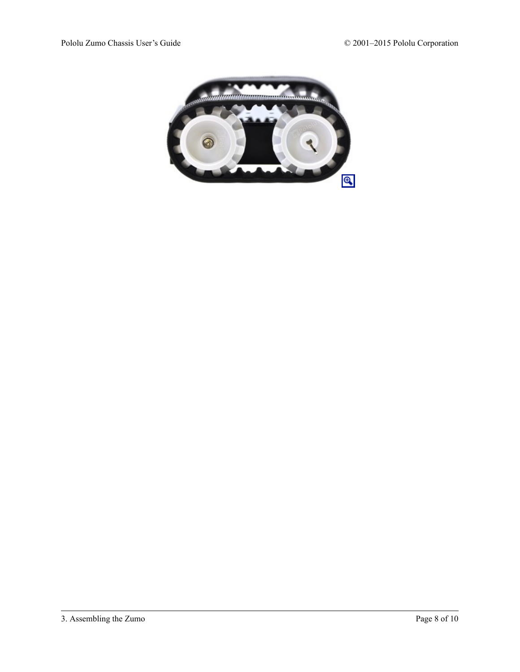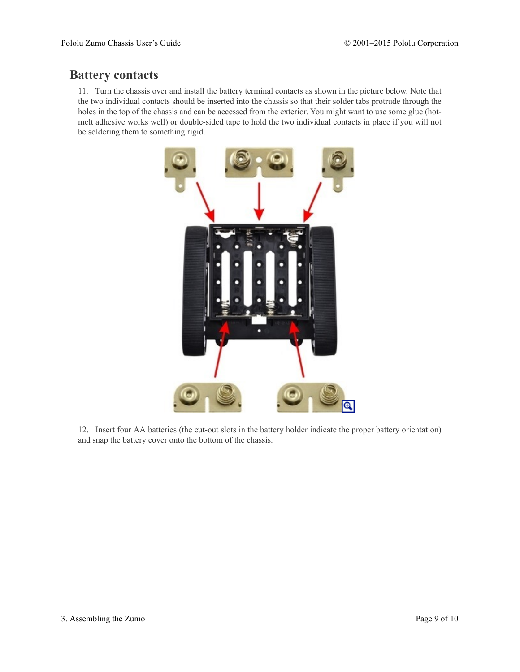### **Battery contacts**

11. Turn the chassis over and install the battery terminal contacts as shown in the picture below. Note that the two individual contacts should be inserted into the chassis so that their solder tabs protrude through the holes in the top of the chassis and can be accessed from the exterior. You might want to use some glue (hotmelt adhesive works well) or double-sided tape to hold the two individual contacts in place if you will not be soldering them to something rigid.



12. Insert four AA batteries (the cut-out slots in the battery holder indicate the proper battery orientation) and snap the battery cover onto the bottom of the chassis.